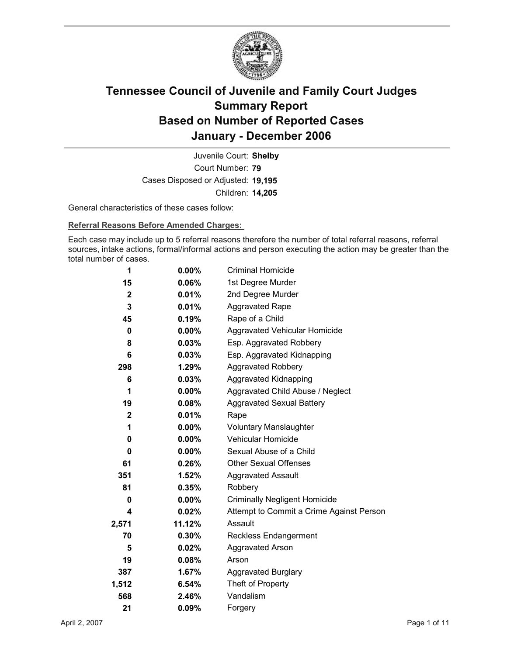

Court Number: **79** Juvenile Court: **Shelby** Cases Disposed or Adjusted: **19,195** Children: **14,205**

General characteristics of these cases follow:

**Referral Reasons Before Amended Charges:** 

Each case may include up to 5 referral reasons therefore the number of total referral reasons, referral sources, intake actions, formal/informal actions and person executing the action may be greater than the total number of cases.

| 1              | $0.00\%$ | <b>Criminal Homicide</b>                 |
|----------------|----------|------------------------------------------|
| 15             | 0.06%    | 1st Degree Murder                        |
| $\overline{2}$ | $0.01\%$ | 2nd Degree Murder                        |
| 3              | 0.01%    | <b>Aggravated Rape</b>                   |
| 45             | 0.19%    | Rape of a Child                          |
| 0              | $0.00\%$ | Aggravated Vehicular Homicide            |
| 8              | $0.03\%$ | Esp. Aggravated Robbery                  |
| 6              | $0.03\%$ | Esp. Aggravated Kidnapping               |
| 298            | 1.29%    | <b>Aggravated Robbery</b>                |
| 6              | $0.03\%$ | <b>Aggravated Kidnapping</b>             |
| 1              | $0.00\%$ | Aggravated Child Abuse / Neglect         |
| 19             | 0.08%    | <b>Aggravated Sexual Battery</b>         |
| $\mathbf{2}$   | $0.01\%$ | Rape                                     |
| 1              | $0.00\%$ | <b>Voluntary Manslaughter</b>            |
| 0              | $0.00\%$ | <b>Vehicular Homicide</b>                |
| 0              | $0.00\%$ | Sexual Abuse of a Child                  |
| 61             | $0.26\%$ | <b>Other Sexual Offenses</b>             |
| 351            | 1.52%    | <b>Aggravated Assault</b>                |
| 81             | 0.35%    | Robbery                                  |
| 0              | $0.00\%$ | <b>Criminally Negligent Homicide</b>     |
| 4              | 0.02%    | Attempt to Commit a Crime Against Person |
| 2,571          | 11.12%   | Assault                                  |
| 70             | 0.30%    | <b>Reckless Endangerment</b>             |
| 5              | 0.02%    | <b>Aggravated Arson</b>                  |
| 19             | $0.08\%$ | Arson                                    |
| 387            | 1.67%    | <b>Aggravated Burglary</b>               |
| 1,512          | 6.54%    | Theft of Property                        |
| 568            | 2.46%    | Vandalism                                |
| 21             | 0.09%    | Forgery                                  |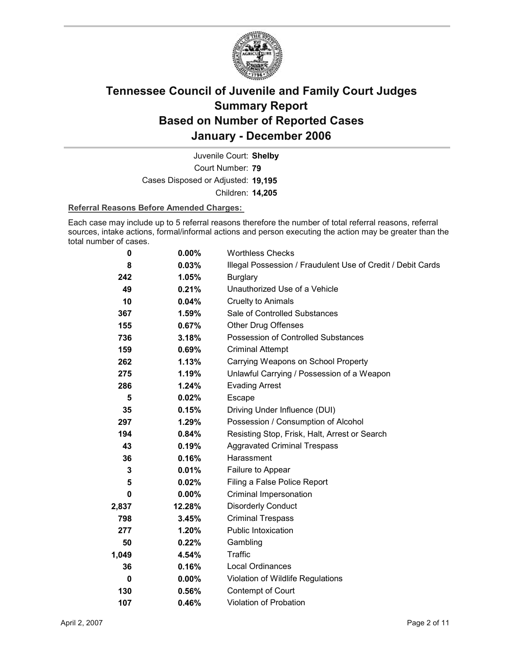

Court Number: **79** Juvenile Court: **Shelby** Cases Disposed or Adjusted: **19,195** Children: **14,205**

#### **Referral Reasons Before Amended Charges:**

Each case may include up to 5 referral reasons therefore the number of total referral reasons, referral sources, intake actions, formal/informal actions and person executing the action may be greater than the total number of cases.

| 0        | 0.00%    | <b>Worthless Checks</b>                                     |
|----------|----------|-------------------------------------------------------------|
| 8        | 0.03%    | Illegal Possession / Fraudulent Use of Credit / Debit Cards |
| 242      | 1.05%    | <b>Burglary</b>                                             |
| 49       | 0.21%    | Unauthorized Use of a Vehicle                               |
| 10       | 0.04%    | Cruelty to Animals                                          |
| 367      | 1.59%    | Sale of Controlled Substances                               |
| 155      | 0.67%    | <b>Other Drug Offenses</b>                                  |
| 736      | 3.18%    | Possession of Controlled Substances                         |
| 159      | 0.69%    | <b>Criminal Attempt</b>                                     |
| 262      | 1.13%    | Carrying Weapons on School Property                         |
| 275      | 1.19%    | Unlawful Carrying / Possession of a Weapon                  |
| 286      | 1.24%    | <b>Evading Arrest</b>                                       |
| 5        | 0.02%    | Escape                                                      |
| 35       | 0.15%    | Driving Under Influence (DUI)                               |
| 297      | 1.29%    | Possession / Consumption of Alcohol                         |
| 194      | 0.84%    | Resisting Stop, Frisk, Halt, Arrest or Search               |
| 43       | 0.19%    | <b>Aggravated Criminal Trespass</b>                         |
| 36       | 0.16%    | Harassment                                                  |
| 3        | 0.01%    | Failure to Appear                                           |
| 5        | 0.02%    | Filing a False Police Report                                |
| 0        | $0.00\%$ | Criminal Impersonation                                      |
| 2,837    | 12.28%   | <b>Disorderly Conduct</b>                                   |
| 798      | 3.45%    | <b>Criminal Trespass</b>                                    |
| 277      | 1.20%    | <b>Public Intoxication</b>                                  |
| 50       | 0.22%    | Gambling                                                    |
| 1,049    | 4.54%    | Traffic                                                     |
| 36       | 0.16%    | Local Ordinances                                            |
| $\bf{0}$ | $0.00\%$ | Violation of Wildlife Regulations                           |
| 130      | 0.56%    | Contempt of Court                                           |
| 107      | 0.46%    | <b>Violation of Probation</b>                               |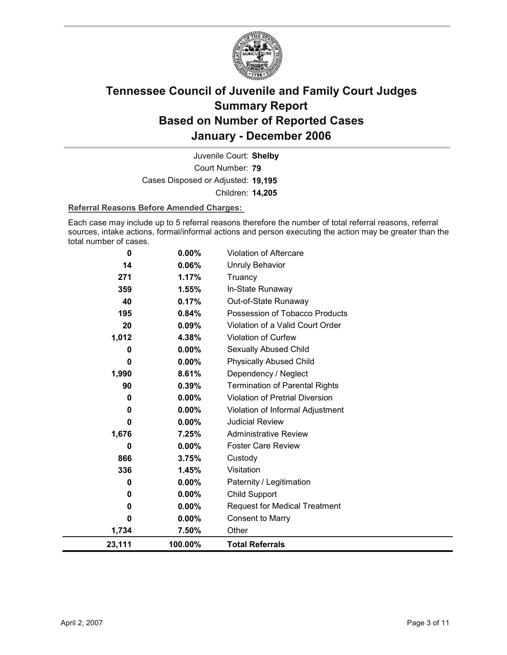

Court Number: **79** Juvenile Court: **Shelby** Cases Disposed or Adjusted: **19,195** Children: **14,205**

#### **Referral Reasons Before Amended Charges:**

Each case may include up to 5 referral reasons therefore the number of total referral reasons, referral sources, intake actions, formal/informal actions and person executing the action may be greater than the total number of cases.

| 23,111 | 100.00%  | <b>Total Referrals</b>                 |
|--------|----------|----------------------------------------|
| 1,734  | 7.50%    | Other                                  |
| 0      | $0.00\%$ | Consent to Marry                       |
| 0      | 0.00%    | <b>Request for Medical Treatment</b>   |
| 0      | 0.00%    | <b>Child Support</b>                   |
| 0      | $0.00\%$ | Paternity / Legitimation               |
| 336    | 1.45%    | Visitation                             |
| 866    | 3.75%    | Custody                                |
| 0      | $0.00\%$ | <b>Foster Care Review</b>              |
| 1,676  | 7.25%    | <b>Administrative Review</b>           |
| 0      | 0.00%    | <b>Judicial Review</b>                 |
| 0      | 0.00%    | Violation of Informal Adjustment       |
| 0      | 0.00%    | <b>Violation of Pretrial Diversion</b> |
| 90     | 0.39%    | <b>Termination of Parental Rights</b>  |
| 1,990  | 8.61%    | Dependency / Neglect                   |
| 0      | 0.00%    | <b>Physically Abused Child</b>         |
| 0      | $0.00\%$ | Sexually Abused Child                  |
| 1,012  | 4.38%    | Violation of Curfew                    |
| 20     | 0.09%    | Violation of a Valid Court Order       |
| 195    | 0.84%    | Possession of Tobacco Products         |
| 40     | 0.17%    | Out-of-State Runaway                   |
| 359    | 1.55%    | In-State Runaway                       |
| 271    | 1.17%    | Truancy                                |
| 14     | 0.06%    | Unruly Behavior                        |
| 0      | 0.00%    | Violation of Aftercare                 |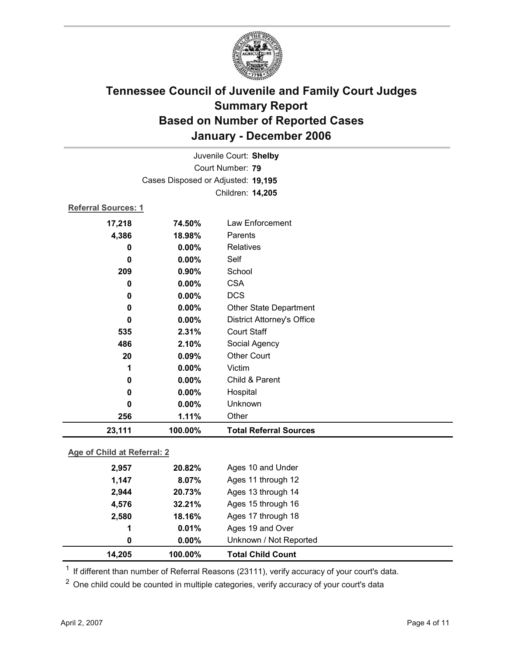

| Juvenile Court: Shelby      |                                    |                                   |  |  |  |
|-----------------------------|------------------------------------|-----------------------------------|--|--|--|
| Court Number: 79            |                                    |                                   |  |  |  |
|                             | Cases Disposed or Adjusted: 19,195 |                                   |  |  |  |
|                             |                                    | Children: 14,205                  |  |  |  |
| <b>Referral Sources: 1</b>  |                                    |                                   |  |  |  |
| 17,218                      | 74.50%                             | Law Enforcement                   |  |  |  |
| 4,386                       | 18.98%                             | Parents                           |  |  |  |
| 0                           | 0.00%                              | Relatives                         |  |  |  |
| 0                           | 0.00%                              | Self                              |  |  |  |
| 209                         | 0.90%                              | School                            |  |  |  |
| 0                           | 0.00%                              | <b>CSA</b>                        |  |  |  |
| 0                           | 0.00%                              | <b>DCS</b>                        |  |  |  |
| 0                           | $0.00\%$                           | <b>Other State Department</b>     |  |  |  |
| $\bf{0}$                    | 0.00%                              | <b>District Attorney's Office</b> |  |  |  |
| 535                         | 2.31%                              | <b>Court Staff</b>                |  |  |  |
| 486                         | 2.10%                              | Social Agency                     |  |  |  |
| 20                          | 0.09%                              | <b>Other Court</b>                |  |  |  |
| 1                           | 0.00%                              | Victim                            |  |  |  |
| 0                           | 0.00%                              | Child & Parent                    |  |  |  |
| 0                           | $0.00\%$                           | Hospital                          |  |  |  |
| 0                           | 0.00%                              | Unknown                           |  |  |  |
| 256                         | 1.11%                              | Other                             |  |  |  |
| 23,111                      | 100.00%                            | <b>Total Referral Sources</b>     |  |  |  |
| Age of Child at Referral: 2 |                                    |                                   |  |  |  |
| 2057                        | 20000                              | Agos 10 and Under                 |  |  |  |

| 14,205 | 100.00%  | <b>Total Child Count</b> |
|--------|----------|--------------------------|
| 0      | $0.00\%$ | Unknown / Not Reported   |
| 1      | 0.01%    | Ages 19 and Over         |
| 2,580  | 18.16%   | Ages 17 through 18       |
| 4,576  | 32.21%   | Ages 15 through 16       |
| 2,944  | 20.73%   | Ages 13 through 14       |
| 1,147  | 8.07%    | Ages 11 through 12       |
| 2,957  | 20.82%   | Ages 10 and Under        |

 $1$  If different than number of Referral Reasons (23111), verify accuracy of your court's data.

<sup>2</sup> One child could be counted in multiple categories, verify accuracy of your court's data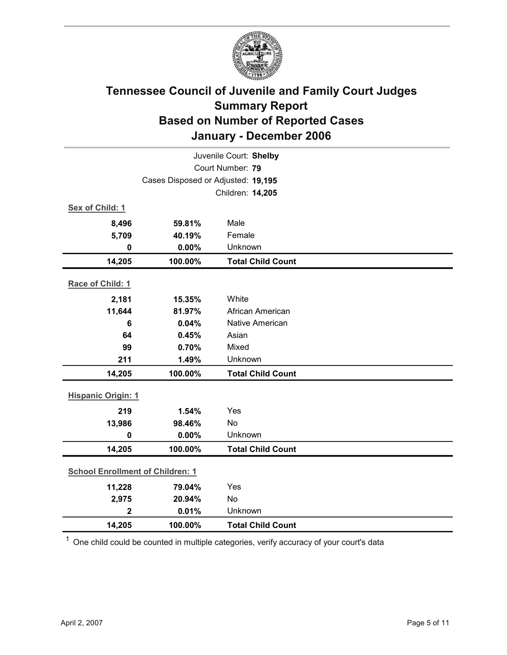

| Juvenile Court: Shelby                  |                                    |                          |  |  |
|-----------------------------------------|------------------------------------|--------------------------|--|--|
| Court Number: 79                        |                                    |                          |  |  |
|                                         | Cases Disposed or Adjusted: 19,195 |                          |  |  |
|                                         |                                    | Children: 14,205         |  |  |
| Sex of Child: 1                         |                                    |                          |  |  |
| 8,496                                   | 59.81%                             | Male                     |  |  |
| 5,709                                   | 40.19%                             | Female                   |  |  |
| $\bf{0}$                                | 0.00%                              | Unknown                  |  |  |
| 14,205                                  | 100.00%                            | <b>Total Child Count</b> |  |  |
| Race of Child: 1                        |                                    |                          |  |  |
| 2,181                                   | 15.35%                             | White                    |  |  |
| 11,644                                  | 81.97%                             | African American         |  |  |
| 6                                       | 0.04%                              | Native American          |  |  |
| 64                                      | 0.45%                              | Asian                    |  |  |
| 99                                      | 0.70%                              | Mixed                    |  |  |
| 211                                     | 1.49%                              | Unknown                  |  |  |
| 14,205                                  | 100.00%                            | <b>Total Child Count</b> |  |  |
| <b>Hispanic Origin: 1</b>               |                                    |                          |  |  |
| 219                                     | 1.54%                              | Yes                      |  |  |
| 13,986                                  | 98.46%                             | <b>No</b>                |  |  |
| 0                                       | 0.00%                              | Unknown                  |  |  |
| 14,205                                  | 100.00%                            | <b>Total Child Count</b> |  |  |
| <b>School Enrollment of Children: 1</b> |                                    |                          |  |  |
| 11,228                                  | 79.04%                             | Yes                      |  |  |
| 2,975                                   | 20.94%                             | No                       |  |  |
| $\overline{2}$                          | 0.01%                              | Unknown                  |  |  |
| 14,205                                  | 100.00%                            | <b>Total Child Count</b> |  |  |

 $1$  One child could be counted in multiple categories, verify accuracy of your court's data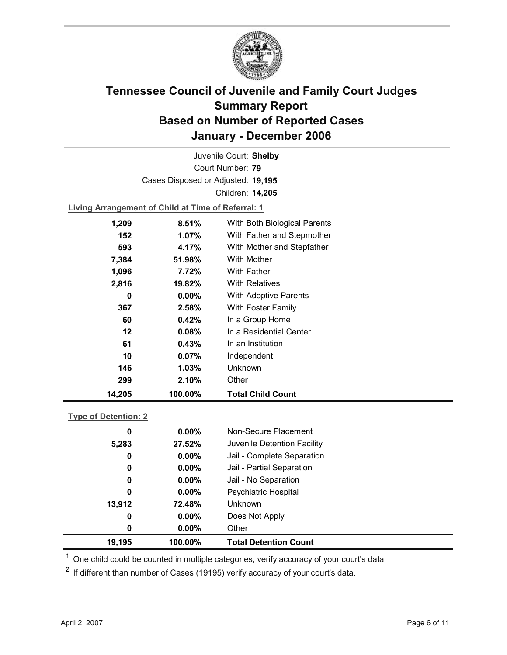

Court Number: **79** Juvenile Court: **Shelby** Cases Disposed or Adjusted: **19,195** Children: **14,205**

**Living Arrangement of Child at Time of Referral: 1**

| 14,205 | 100.00%  | <b>Total Child Count</b>     |
|--------|----------|------------------------------|
| 299    | 2.10%    | Other                        |
| 146    | 1.03%    | Unknown                      |
| 10     | 0.07%    | Independent                  |
| 61     | 0.43%    | In an Institution            |
| 12     | 0.08%    | In a Residential Center      |
| 60     | 0.42%    | In a Group Home              |
| 367    | 2.58%    | With Foster Family           |
| 0      | $0.00\%$ | <b>With Adoptive Parents</b> |
| 2,816  | 19.82%   | <b>With Relatives</b>        |
| 1,096  | 7.72%    | With Father                  |
| 7,384  | 51.98%   | With Mother                  |
| 593    | 4.17%    | With Mother and Stepfather   |
| 152    | $1.07\%$ | With Father and Stepmother   |
| 1,209  | 8.51%    | With Both Biological Parents |
|        |          |                              |

### **Type of Detention: 2**

| 19,195 | 100.00%  | <b>Total Detention Count</b> |
|--------|----------|------------------------------|
| 0      | $0.00\%$ | Other                        |
| 0      | $0.00\%$ | Does Not Apply               |
| 13,912 | 72.48%   | <b>Unknown</b>               |
| 0      | $0.00\%$ | <b>Psychiatric Hospital</b>  |
| 0      | $0.00\%$ | Jail - No Separation         |
| 0      | $0.00\%$ | Jail - Partial Separation    |
| 0      | $0.00\%$ | Jail - Complete Separation   |
| 5,283  | 27.52%   | Juvenile Detention Facility  |
| 0      | $0.00\%$ | Non-Secure Placement         |
|        |          |                              |

 $<sup>1</sup>$  One child could be counted in multiple categories, verify accuracy of your court's data</sup>

 $2$  If different than number of Cases (19195) verify accuracy of your court's data.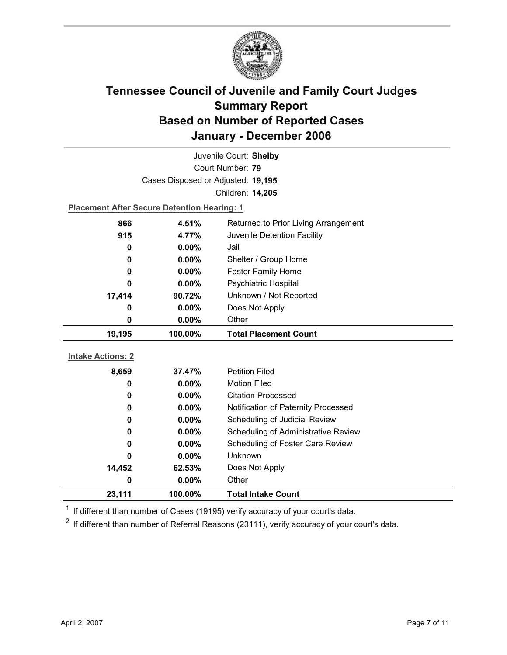

| Juvenile Court: Shelby   |                                                    |                                      |  |  |
|--------------------------|----------------------------------------------------|--------------------------------------|--|--|
| Court Number: 79         |                                                    |                                      |  |  |
|                          | Cases Disposed or Adjusted: 19,195                 |                                      |  |  |
|                          |                                                    | Children: 14,205                     |  |  |
|                          | <b>Placement After Secure Detention Hearing: 1</b> |                                      |  |  |
| 866                      | 4.51%                                              | Returned to Prior Living Arrangement |  |  |
| 915                      | 4.77%                                              | Juvenile Detention Facility          |  |  |
| 0                        | $0.00\%$                                           | Jail                                 |  |  |
| 0                        | 0.00%                                              | Shelter / Group Home                 |  |  |
| 0                        | 0.00%                                              | <b>Foster Family Home</b>            |  |  |
| 0                        | 0.00%                                              | Psychiatric Hospital                 |  |  |
| 17,414                   | 90.72%                                             | Unknown / Not Reported               |  |  |
| 0                        | 0.00%                                              | Does Not Apply                       |  |  |
| 0                        | 0.00%                                              | Other                                |  |  |
|                          |                                                    |                                      |  |  |
| 19,195                   | 100.00%                                            | <b>Total Placement Count</b>         |  |  |
|                          |                                                    |                                      |  |  |
| <b>Intake Actions: 2</b> |                                                    |                                      |  |  |
| 8,659                    | 37.47%                                             | <b>Petition Filed</b>                |  |  |
| 0                        | $0.00\%$                                           | <b>Motion Filed</b>                  |  |  |
| 0                        | $0.00\%$                                           | <b>Citation Processed</b>            |  |  |
| 0                        | $0.00\%$                                           | Notification of Paternity Processed  |  |  |
| 0                        | 0.00%                                              | Scheduling of Judicial Review        |  |  |
| 0                        | $0.00\%$                                           | Scheduling of Administrative Review  |  |  |
| 0                        | 0.00%                                              | Scheduling of Foster Care Review     |  |  |
| 0                        | 0.00%                                              | <b>Unknown</b>                       |  |  |
| 14,452                   | 62.53%                                             | Does Not Apply                       |  |  |
| 0                        | 0.00%                                              | Other                                |  |  |

 $1$  If different than number of Cases (19195) verify accuracy of your court's data.

 $2$  If different than number of Referral Reasons (23111), verify accuracy of your court's data.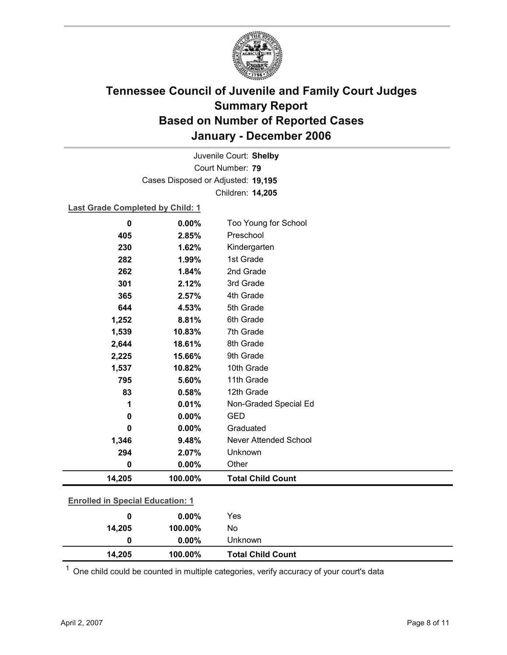

Court Number: **79** Juvenile Court: **Shelby** Cases Disposed or Adjusted: **19,195** Children: **14,205**

### **Last Grade Completed by Child: 1**

| 0                                       | 0.00%   | Too Young for School         |  |
|-----------------------------------------|---------|------------------------------|--|
| 405                                     | 2.85%   | Preschool                    |  |
| 230                                     | 1.62%   | Kindergarten                 |  |
| 282                                     | 1.99%   | 1st Grade                    |  |
| 262                                     | 1.84%   | 2nd Grade                    |  |
| 301                                     | 2.12%   | 3rd Grade                    |  |
| 365                                     | 2.57%   | 4th Grade                    |  |
| 644                                     | 4.53%   | 5th Grade                    |  |
| 1,252                                   | 8.81%   | 6th Grade                    |  |
| 1,539                                   | 10.83%  | 7th Grade                    |  |
| 2,644                                   | 18.61%  | 8th Grade                    |  |
| 2,225                                   | 15.66%  | 9th Grade                    |  |
| 1,537                                   | 10.82%  | 10th Grade                   |  |
| 795                                     | 5.60%   | 11th Grade                   |  |
| 83                                      | 0.58%   | 12th Grade                   |  |
| 1                                       | 0.01%   | Non-Graded Special Ed        |  |
| 0                                       | 0.00%   | <b>GED</b>                   |  |
| 0                                       | 0.00%   | Graduated                    |  |
| 1,346                                   | 9.48%   | <b>Never Attended School</b> |  |
| 294                                     | 2.07%   | Unknown                      |  |
| 0                                       | 0.00%   | Other                        |  |
| 14,205                                  | 100.00% | <b>Total Child Count</b>     |  |
|                                         |         |                              |  |
| <b>Enrolled in Special Education: 1</b> |         |                              |  |
| 0                                       | 0.00%   | Yes                          |  |

| 14.205 | 100.00%  | <b>Total Child Count</b> |
|--------|----------|--------------------------|
|        | $0.00\%$ | Unknown                  |
| 14,205 | 100.00%  | No                       |

 $1$  One child could be counted in multiple categories, verify accuracy of your court's data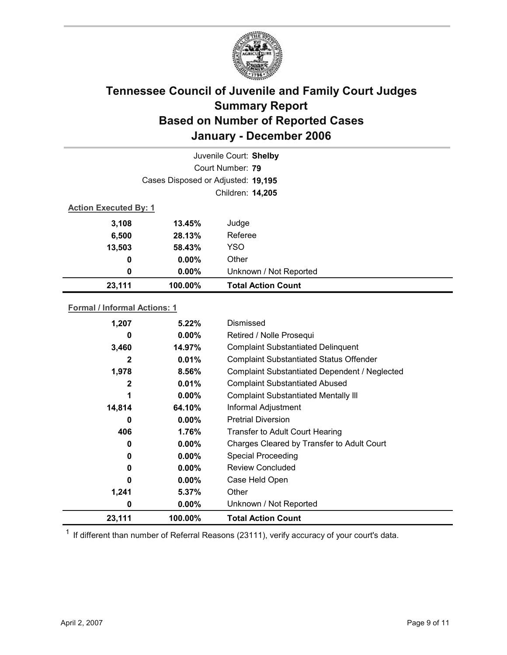

|                              | Juvenile Court: Shelby             |                           |  |  |  |
|------------------------------|------------------------------------|---------------------------|--|--|--|
|                              | Court Number: 79                   |                           |  |  |  |
|                              | Cases Disposed or Adjusted: 19,195 |                           |  |  |  |
|                              | Children: 14,205                   |                           |  |  |  |
| <b>Action Executed By: 1</b> |                                    |                           |  |  |  |
| 3,108                        | 13.45%                             | Judge                     |  |  |  |
| 6,500                        | 28.13%                             | Referee                   |  |  |  |
| 13,503                       | 58.43%                             | <b>YSO</b>                |  |  |  |
| 0                            | $0.00\%$                           | Other                     |  |  |  |
| 0                            | $0.00\%$                           | Unknown / Not Reported    |  |  |  |
| 23,111                       | 100.00%                            | <b>Total Action Count</b> |  |  |  |

### **Formal / Informal Actions: 1**

| 1,207  | $5.22\%$ | Dismissed                                      |
|--------|----------|------------------------------------------------|
| 0      | $0.00\%$ | Retired / Nolle Prosequi                       |
| 3,460  | 14.97%   | <b>Complaint Substantiated Delinquent</b>      |
| 2      | 0.01%    | <b>Complaint Substantiated Status Offender</b> |
| 1,978  | 8.56%    | Complaint Substantiated Dependent / Neglected  |
| 2      | 0.01%    | <b>Complaint Substantiated Abused</b>          |
|        | $0.00\%$ | <b>Complaint Substantiated Mentally III</b>    |
| 14,814 | 64.10%   | Informal Adjustment                            |
| 0      | $0.00\%$ | <b>Pretrial Diversion</b>                      |
| 406    | 1.76%    | Transfer to Adult Court Hearing                |
| 0      | $0.00\%$ | Charges Cleared by Transfer to Adult Court     |
| 0      | $0.00\%$ | <b>Special Proceeding</b>                      |
| 0      | $0.00\%$ | <b>Review Concluded</b>                        |
| 0      | $0.00\%$ | Case Held Open                                 |
| 1,241  | 5.37%    | Other                                          |
| 0      | $0.00\%$ | Unknown / Not Reported                         |
| 23,111 | 100.00%  | <b>Total Action Count</b>                      |

 $1$  If different than number of Referral Reasons (23111), verify accuracy of your court's data.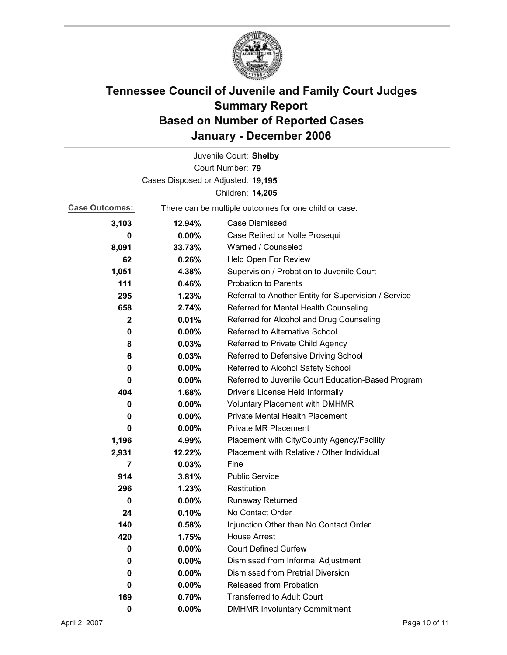

|                                    |          | Juvenile Court: Shelby                                |  |  |
|------------------------------------|----------|-------------------------------------------------------|--|--|
|                                    |          | Court Number: 79                                      |  |  |
| Cases Disposed or Adjusted: 19,195 |          |                                                       |  |  |
|                                    |          | Children: 14,205                                      |  |  |
| <b>Case Outcomes:</b>              |          | There can be multiple outcomes for one child or case. |  |  |
| 3,103                              | 12.94%   | <b>Case Dismissed</b>                                 |  |  |
| 0                                  | $0.00\%$ | Case Retired or Nolle Prosequi                        |  |  |
| 8,091                              | 33.73%   | Warned / Counseled                                    |  |  |
| 62                                 | 0.26%    | Held Open For Review                                  |  |  |
| 1,051                              | 4.38%    | Supervision / Probation to Juvenile Court             |  |  |
| 111                                | 0.46%    | <b>Probation to Parents</b>                           |  |  |
| 295                                | 1.23%    | Referral to Another Entity for Supervision / Service  |  |  |
| 658                                | 2.74%    | Referred for Mental Health Counseling                 |  |  |
| $\mathbf{2}$                       | 0.01%    | Referred for Alcohol and Drug Counseling              |  |  |
| 0                                  | 0.00%    | Referred to Alternative School                        |  |  |
| 8                                  | 0.03%    | Referred to Private Child Agency                      |  |  |
| 6                                  | 0.03%    | Referred to Defensive Driving School                  |  |  |
| 0                                  | $0.00\%$ | Referred to Alcohol Safety School                     |  |  |
| 0                                  | 0.00%    | Referred to Juvenile Court Education-Based Program    |  |  |
| 404                                | 1.68%    | Driver's License Held Informally                      |  |  |
| 0                                  | $0.00\%$ | <b>Voluntary Placement with DMHMR</b>                 |  |  |
| 0                                  | $0.00\%$ | <b>Private Mental Health Placement</b>                |  |  |
| 0                                  | $0.00\%$ | <b>Private MR Placement</b>                           |  |  |
| 1,196                              | 4.99%    | Placement with City/County Agency/Facility            |  |  |
| 2,931                              | 12.22%   | Placement with Relative / Other Individual            |  |  |
| 7                                  | 0.03%    | Fine                                                  |  |  |
| 914                                | 3.81%    | <b>Public Service</b>                                 |  |  |
| 296                                | 1.23%    | Restitution                                           |  |  |
| 0                                  | $0.00\%$ | Runaway Returned                                      |  |  |
| 24                                 | 0.10%    | No Contact Order                                      |  |  |
| 140                                | 0.58%    | Injunction Other than No Contact Order                |  |  |
| 420                                | 1.75%    | <b>House Arrest</b>                                   |  |  |
| 0                                  | $0.00\%$ | <b>Court Defined Curfew</b>                           |  |  |
| 0                                  | $0.00\%$ | Dismissed from Informal Adjustment                    |  |  |
| 0                                  | $0.00\%$ | <b>Dismissed from Pretrial Diversion</b>              |  |  |
| 0                                  | $0.00\%$ | <b>Released from Probation</b>                        |  |  |
| 169                                | 0.70%    | <b>Transferred to Adult Court</b>                     |  |  |
| 0                                  | $0.00\%$ | <b>DMHMR Involuntary Commitment</b>                   |  |  |